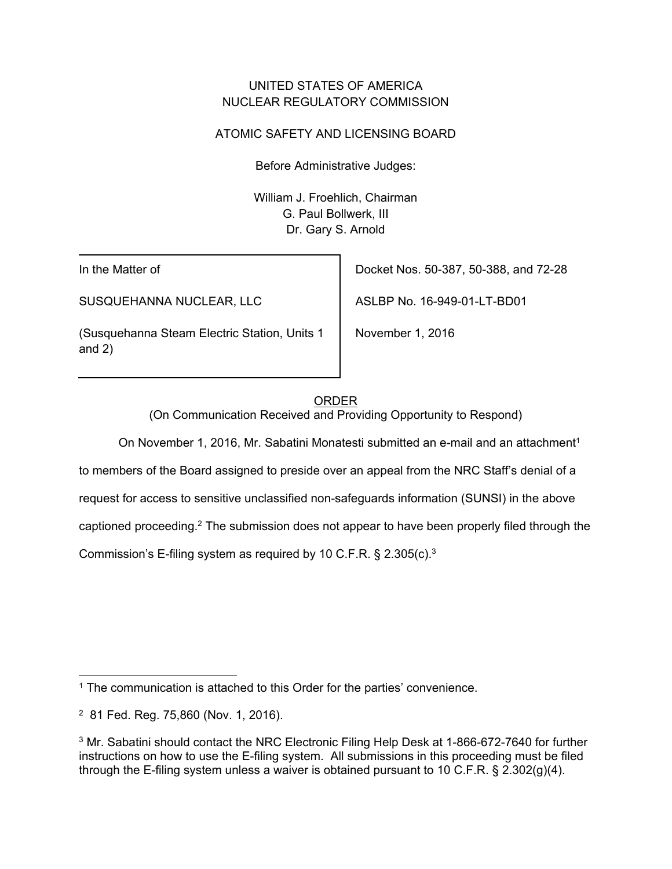## UNITED STATES OF AMERICA NUCLEAR REGULATORY COMMISSION

# ATOMIC SAFETY AND LICENSING BOARD

Before Administrative Judges:

William J. Froehlich, Chairman G. Paul Bollwerk, III Dr. Gary S. Arnold

In the Matter of

SUSQUEHANNA NUCLEAR, LLC

(Susquehanna Steam Electric Station, Units 1 and 2)

Docket Nos. 50-387, 50-388, and 72-28

ASLBP No. 16-949-01-LT-BD01

November 1, 2016

# ORDER

(On Communication Received and Providing Opportunity to Respond)

On November 1, 2016, Mr. Sabatini Monatesti submitted an e-mail and an attachment<sup>1</sup>

to members of the Board assigned to preside over an appeal from the NRC Staff's denial of a

request for access to sensitive unclassified non-safeguards information (SUNSI) in the above

captioned proceeding.2 The submission does not appear to have been properly filed through the

Commission's E-filing system as required by 10 C.F.R. § 2.305(c).3

<sup>&</sup>lt;sup>1</sup> The communication is attached to this Order for the parties' convenience.

<sup>2 81</sup> Fed. Reg. 75,860 (Nov. 1, 2016).

<sup>&</sup>lt;sup>3</sup> Mr. Sabatini should contact the NRC Electronic Filing Help Desk at 1-866-672-7640 for further instructions on how to use the E-filing system. All submissions in this proceeding must be filed through the E-filing system unless a waiver is obtained pursuant to 10 C.F.R. § 2.302(g)(4).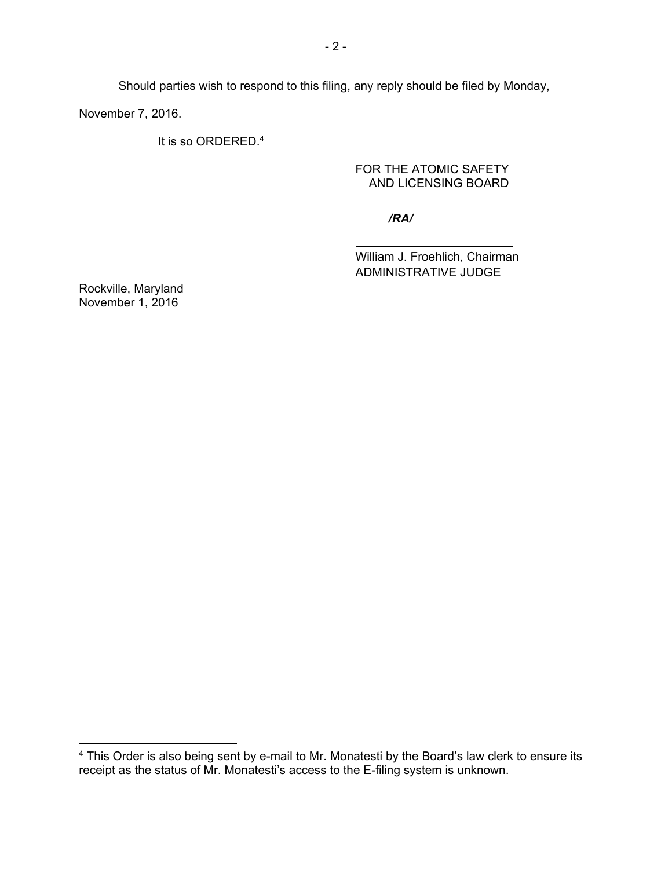Should parties wish to respond to this filing, any reply should be filed by Monday,

November 7, 2016.

It is so ORDERED.4

#### FOR THE ATOMIC SAFETY AND LICENSING BOARD

*/RA/*

William J. Froehlich, Chairman ADMINISTRATIVE JUDGE

Rockville, Maryland November 1, 2016

<sup>4</sup> This Order is also being sent by e-mail to Mr. Monatesti by the Board's law clerk to ensure its receipt as the status of Mr. Monatesti's access to the E-filing system is unknown.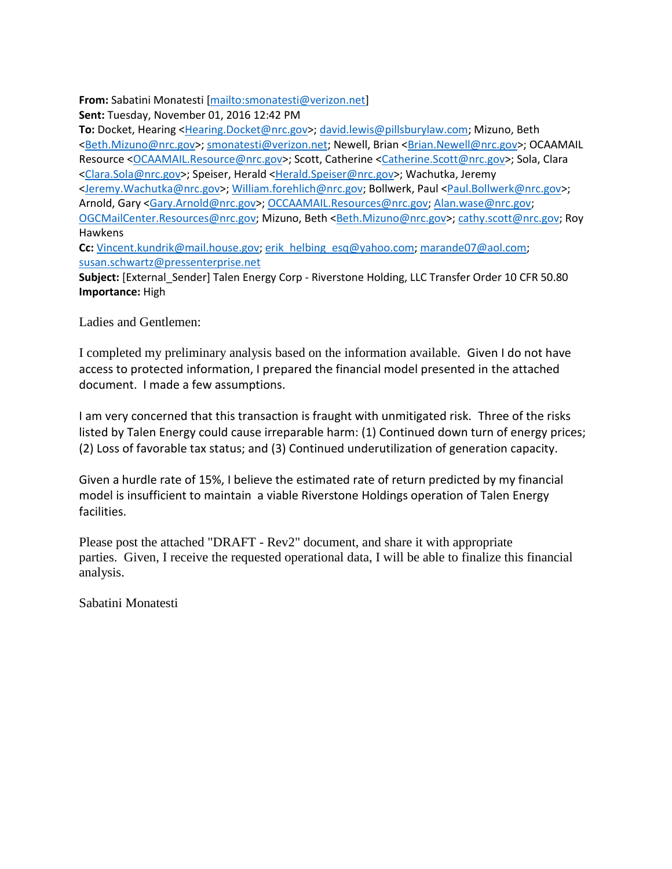**From:** Sabatini Monatesti [\[mailto:smonatesti@verizon.net\]](mailto:smonatesti@verizon.net)

**Sent:** Tuesday, November 01, 2016 12:42 PM

**To:** Docket, Hearing [<Hearing.Docket@nrc.gov>](mailto:Hearing.Docket@nrc.gov); [david.lewis@pillsburylaw.com;](mailto:david.lewis@pillsburylaw.com) Mizuno, Beth [<Beth.Mizuno@nrc.gov>](mailto:Beth.Mizuno@nrc.gov)[; smonatesti@verizon.net;](mailto:smonatesti@verizon.net) Newell, Brian [<Brian.Newell@nrc.gov>](mailto:Brian.Newell@nrc.gov); OCAAMAIL Resource [<OCAAMAIL.Resource@nrc.gov>](mailto:OCAAMAIL.Resource@nrc.gov); Scott, Catherine [<Catherine.Scott@nrc.gov>](mailto:Catherine.Scott@nrc.gov); Sola, Clara [<Clara.Sola@nrc.gov>](mailto:Clara.Sola@nrc.gov); Speiser, Herald [<Herald.Speiser@nrc.gov>](mailto:Herald.Speiser@nrc.gov); Wachutka, Jeremy [<Jeremy.Wachutka@nrc.gov>](mailto:Jeremy.Wachutka@nrc.gov); [William.forehlich@nrc.gov;](mailto:William.forehlich@nrc.gov) Bollwerk, Paul [<Paul.Bollwerk@nrc.gov>](mailto:Paul.Bollwerk@nrc.gov); Arnold, Gary [<Gary.Arnold@nrc.gov>](mailto:Gary.Arnold@nrc.gov); [OCCAAMAIL.Resources@nrc.gov;](mailto:OCCAAMAIL.Resources@nrc.gov) [Alan.wase@nrc.gov;](mailto:Alan.wase@nrc.gov) [OGCMailCenter.Resources@nrc.gov;](mailto:OGCMailCenter.Resources@nrc.gov) Mizuno, Beth [<Beth.Mizuno@nrc.gov>](mailto:Beth.Mizuno@nrc.gov)[; cathy.scott@nrc.gov;](mailto:cathy.scott@nrc.gov) Roy Hawkens

**Cc:** [Vincent.kundrik@mail.house.gov;](mailto:Vincent.kundrik@mail.house.gov) [erik\\_helbing\\_esq@yahoo.com;](mailto:erik_helbing_esq@yahoo.com) [marande07@aol.com;](mailto:marande07@aol.com) [susan.schwartz@pressenterprise.net](mailto:susan.schwartz@pressenterprise.net)

**Subject:** [External\_Sender] Talen Energy Corp - Riverstone Holding, LLC Transfer Order 10 CFR 50.80 **Importance:** High

Ladies and Gentlemen:

I completed my preliminary analysis based on the information available. Given I do not have access to protected information, I prepared the financial model presented in the attached document. I made a few assumptions.

I am very concerned that this transaction is fraught with unmitigated risk. Three of the risks listed by Talen Energy could cause irreparable harm: (1) Continued down turn of energy prices; (2) Loss of favorable tax status; and (3) Continued underutilization of generation capacity.

Given a hurdle rate of 15%, I believe the estimated rate of return predicted by my financial model is insufficient to maintain a viable Riverstone Holdings operation of Talen Energy facilities.

Please post the attached "DRAFT - Rev2" document, and share it with appropriate parties. Given, I receive the requested operational data, I will be able to finalize this financial analysis.

Sabatini Monatesti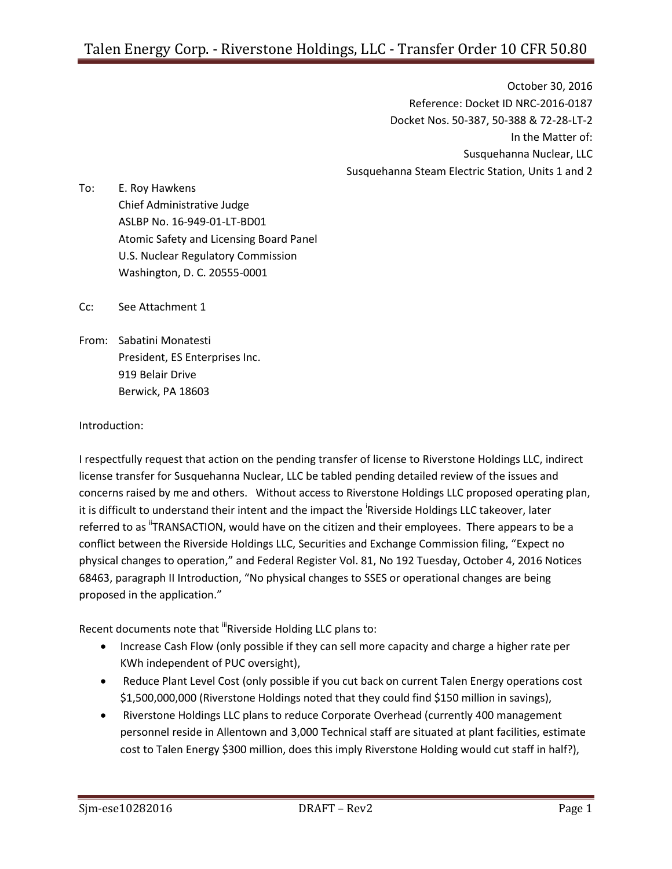October 30, 2016 Reference: Docket ID NRC-2016-0187 Docket Nos. 50-387, 50-388 & 72-28-LT-2 In the Matter of: Susquehanna Nuclear, LLC Susquehanna Steam Electric Station, Units 1 and 2

To: E. Roy Hawkens Chief Administrative Judge ASLBP No. 16-949-01-LT-BD01 Atomic Safety and Licensing Board Panel U.S. Nuclear Regulatory Commission Washington, D. C. 20555-0001

Cc: See Attachment 1

From: Sabatini Monatesti President, ES Enterprises Inc. 919 Belair Drive Berwick, PA 18603

## Introduction:

I respectfully request that action on the pending transfer of license to Riverstone Holdings LLC, indirect license transfer for Susquehanna Nuclear, LLC be tabled pending detailed review of the issues and concerns raised by me and others. Without access to Riverstone Holdings LLC proposed operating plan, it is difficult to understand their intent and the impact the <sup>i</sup>Riverside Holdings LLC takeover, later referred to as "TRANSACTION, would have on the citizen and their employees. There appears to be a conflict between the Riverside Holdings LLC, Securities and Exchange Commission filing, "Expect no physical changes to operation," and Federal Register Vol. 81, No 192 Tuesday, October 4, 2016 Notices 68463, paragraph II Introduction, "No physical changes to SSES or operational changes are being proposed in the application."

Recent documents note that "Riverside Holding LLC plans to:

- Increase Cash Flow (only possible if they can sell more capacity and charge a higher rate per KWh independent of PUC oversight),
- Reduce Plant Level Cost (only possible if you cut back on current Talen Energy operations cost \$1,500,000,000 (Riverstone Holdings noted that they could find \$150 million in savings),
- Riverstone Holdings LLC plans to reduce Corporate Overhead (currently 400 management personnel reside in Allentown and 3,000 Technical staff are situated at plant facilities, estimate cost to Talen Energy \$300 million, does this imply Riverstone Holding would cut staff in half?),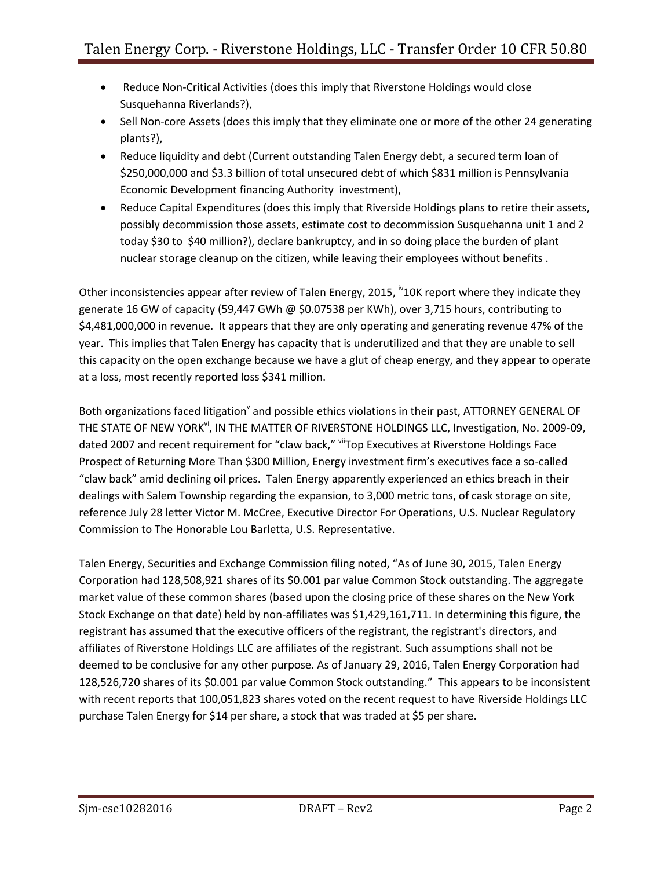- Reduce Non-Critical Activities (does this imply that Riverstone Holdings would close Susquehanna Riverlands?),
- Sell Non-core Assets (does this imply that they eliminate one or more of the other 24 generating plants?),
- Reduce liquidity and debt (Current outstanding Talen Energy debt, a secured term loan of \$250,000,000 and \$3.3 billion of total unsecured debt of which \$831 million is Pennsylvania Economic Development financing Authority investment),
- Reduce Capital Expenditures (does this imply that Riverside Holdings plans to retire their assets, possibly decommission those assets, estimate cost to decommission Susquehanna unit 1 and 2 today \$30 to \$40 million?), declare bankruptcy, and in so doing place the burden of plant nuclear storage cleanup on the citizen, while leaving their employees without benefits .

Other inconsistencies appear after review of Talen Energy, 2015, <sup>iv</sup>10K report where they indicate they generate 16 GW of capacity (59,447 GWh @ \$0.07538 per KWh), over 3,715 hours, contributing to \$4,481,000,000 in revenue. It appears that they are only operating and generating revenue 47% of the year. This implies that Talen Energy has capacity that is underutilized and that they are unable to sell this capacity on the open exchange because we have a glut of cheap energy, and they appear to operate at a loss, most recently reported loss \$341 million.

Both organizations faced litigation<sup>v</sup> and possible ethics violations in their past, ATTORNEY GENERAL OF THE STATE OF NEW YORK<sup>vi</sup>, IN THE MATTER OF RIVERSTONE HOLDINGS LLC, Investigation, No. 2009-09, dated 2007 and recent requirement for "claw back," <sup>vii</sup>Top Executives at Riverstone Holdings Face Prospect of Returning More Than \$300 Million, Energy investment firm's executives face a so-called "claw back" amid declining oil prices. Talen Energy apparently experienced an ethics breach in their dealings with Salem Township regarding the expansion, to 3,000 metric tons, of cask storage on site, reference July 28 letter Victor M. McCree, Executive Director For Operations, U.S. Nuclear Regulatory Commission to The Honorable Lou Barletta, U.S. Representative.

Talen Energy, Securities and Exchange Commission filing noted, "As of June 30, 2015, Talen Energy Corporation had 128,508,921 shares of its \$0.001 par value Common Stock outstanding. The aggregate market value of these common shares (based upon the closing price of these shares on the New York Stock Exchange on that date) held by non-affiliates was \$1,429,161,711. In determining this figure, the registrant has assumed that the executive officers of the registrant, the registrant's directors, and affiliates of Riverstone Holdings LLC are affiliates of the registrant. Such assumptions shall not be deemed to be conclusive for any other purpose. As of January 29, 2016, Talen Energy Corporation had 128,526,720 shares of its \$0.001 par value Common Stock outstanding." This appears to be inconsistent with recent reports that 100,051,823 shares voted on the recent request to have Riverside Holdings LLC purchase Talen Energy for \$14 per share, a stock that was traded at \$5 per share.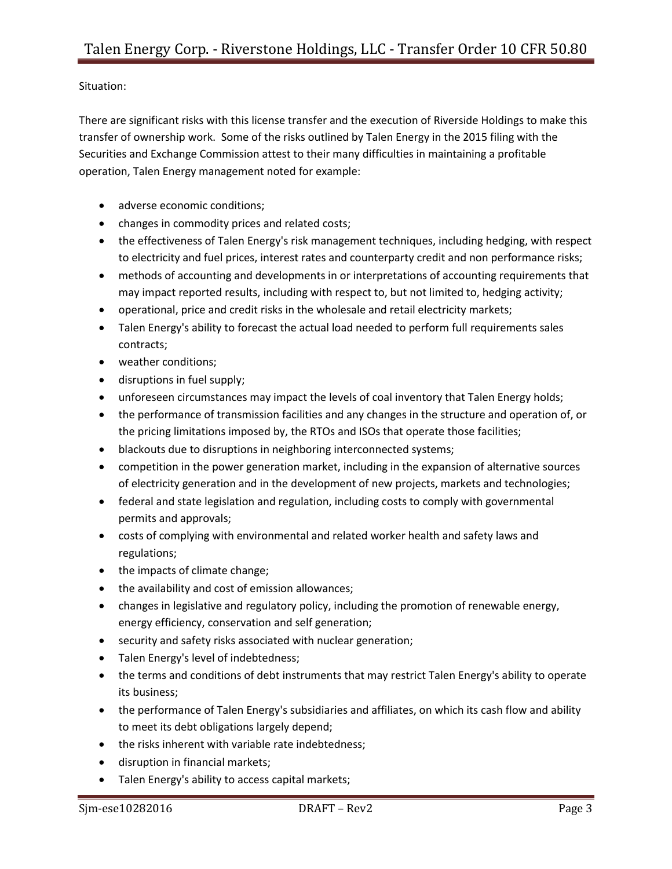Situation:

There are significant risks with this license transfer and the execution of Riverside Holdings to make this transfer of ownership work. Some of the risks outlined by Talen Energy in the 2015 filing with the Securities and Exchange Commission attest to their many difficulties in maintaining a profitable operation, Talen Energy management noted for example:

- adverse economic conditions;
- changes in commodity prices and related costs;
- the effectiveness of Talen Energy's risk management techniques, including hedging, with respect to electricity and fuel prices, interest rates and counterparty credit and non performance risks;
- methods of accounting and developments in or interpretations of accounting requirements that may impact reported results, including with respect to, but not limited to, hedging activity;
- operational, price and credit risks in the wholesale and retail electricity markets;
- Talen Energy's ability to forecast the actual load needed to perform full requirements sales contracts;
- weather conditions;
- disruptions in fuel supply;
- unforeseen circumstances may impact the levels of coal inventory that Talen Energy holds;
- the performance of transmission facilities and any changes in the structure and operation of, or the pricing limitations imposed by, the RTOs and ISOs that operate those facilities;
- blackouts due to disruptions in neighboring interconnected systems;
- competition in the power generation market, including in the expansion of alternative sources of electricity generation and in the development of new projects, markets and technologies;
- federal and state legislation and regulation, including costs to comply with governmental permits and approvals;
- costs of complying with environmental and related worker health and safety laws and regulations;
- the impacts of climate change;
- the availability and cost of emission allowances;
- changes in legislative and regulatory policy, including the promotion of renewable energy, energy efficiency, conservation and self generation;
- security and safety risks associated with nuclear generation;
- Talen Energy's level of indebtedness;
- the terms and conditions of debt instruments that may restrict Talen Energy's ability to operate its business;
- the performance of Talen Energy's subsidiaries and affiliates, on which its cash flow and ability to meet its debt obligations largely depend;
- the risks inherent with variable rate indebtedness;
- disruption in financial markets;
- Talen Energy's ability to access capital markets;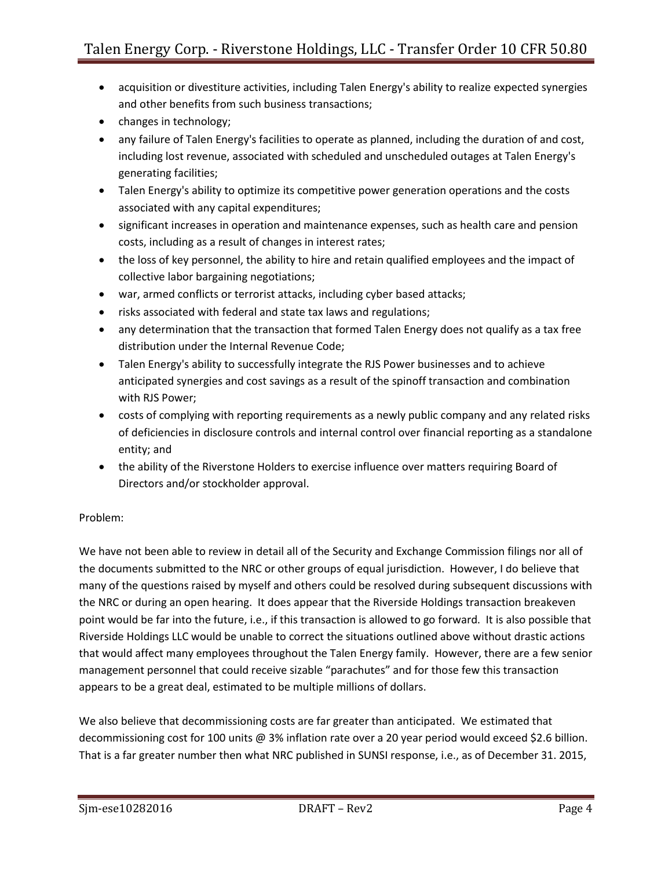- acquisition or divestiture activities, including Talen Energy's ability to realize expected synergies and other benefits from such business transactions;
- changes in technology;
- any failure of Talen Energy's facilities to operate as planned, including the duration of and cost, including lost revenue, associated with scheduled and unscheduled outages at Talen Energy's generating facilities;
- Talen Energy's ability to optimize its competitive power generation operations and the costs associated with any capital expenditures;
- significant increases in operation and maintenance expenses, such as health care and pension costs, including as a result of changes in interest rates;
- the loss of key personnel, the ability to hire and retain qualified employees and the impact of collective labor bargaining negotiations;
- war, armed conflicts or terrorist attacks, including cyber based attacks;
- risks associated with federal and state tax laws and regulations;
- any determination that the transaction that formed Talen Energy does not qualify as a tax free distribution under the Internal Revenue Code;
- Talen Energy's ability to successfully integrate the RJS Power businesses and to achieve anticipated synergies and cost savings as a result of the spinoff transaction and combination with RJS Power;
- costs of complying with reporting requirements as a newly public company and any related risks of deficiencies in disclosure controls and internal control over financial reporting as a standalone entity; and
- the ability of the Riverstone Holders to exercise influence over matters requiring Board of Directors and/or stockholder approval.

## Problem:

We have not been able to review in detail all of the Security and Exchange Commission filings nor all of the documents submitted to the NRC or other groups of equal jurisdiction. However, I do believe that many of the questions raised by myself and others could be resolved during subsequent discussions with the NRC or during an open hearing. It does appear that the Riverside Holdings transaction breakeven point would be far into the future, i.e., if this transaction is allowed to go forward. It is also possible that Riverside Holdings LLC would be unable to correct the situations outlined above without drastic actions that would affect many employees throughout the Talen Energy family. However, there are a few senior management personnel that could receive sizable "parachutes" and for those few this transaction appears to be a great deal, estimated to be multiple millions of dollars.

We also believe that decommissioning costs are far greater than anticipated. We estimated that decommissioning cost for 100 units @ 3% inflation rate over a 20 year period would exceed \$2.6 billion. That is a far greater number then what NRC published in SUNSI response, i.e., as of December 31. 2015,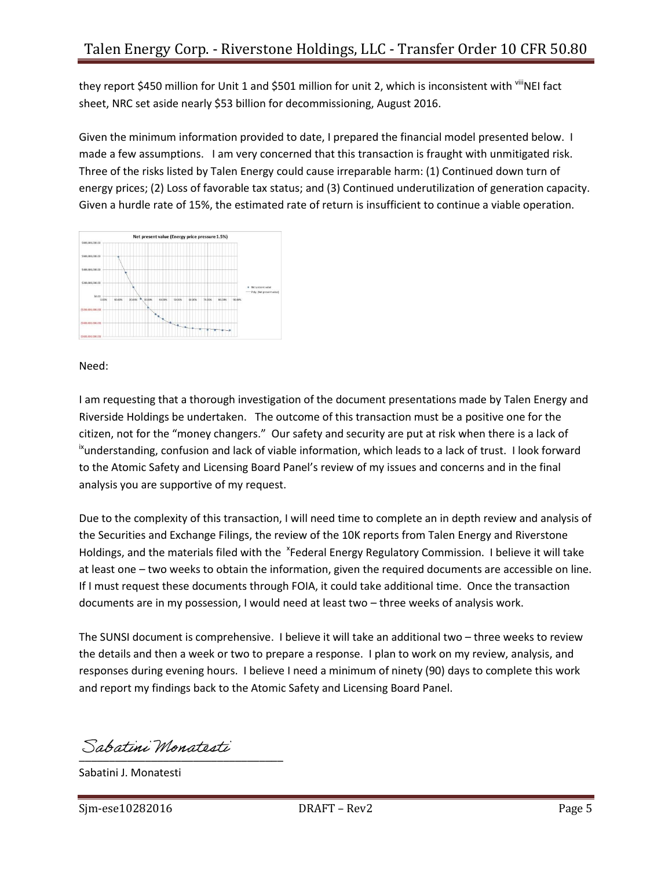they report \$450 million for Unit 1 and \$501 million for unit 2, which is inconsistent with vill NEI fact sheet, NRC set aside nearly \$53 billion for decommissioning, August 2016.

Given the minimum information provided to date, I prepared the financial model presented below. I made a few assumptions. I am very concerned that this transaction is fraught with unmitigated risk. Three of the risks listed by Talen Energy could cause irreparable harm: (1) Continued down turn of energy prices; (2) Loss of favorable tax status; and (3) Continued underutilization of generation capacity. Given a hurdle rate of 15%, the estimated rate of return is insufficient to continue a viable operation.



Need:

I am requesting that a thorough investigation of the document presentations made by Talen Energy and Riverside Holdings be undertaken. The outcome of this transaction must be a positive one for the citizen, not for the "money changers." Our safety and security are put at risk when there is a lack of  $\alpha$ <sup>ix</sup>understanding, confusion and lack of viable information, which leads to a lack of trust. I look forward to the Atomic Safety and Licensing Board Panel's review of my issues and concerns and in the final analysis you are supportive of my request.

Due to the complexity of this transaction, I will need time to complete an in depth review and analysis of the Securities and Exchange Filings, the review of the 10K reports from Talen Energy and Riverstone Holdings, and the materials filed with the <sup>x</sup>Federal Energy Regulatory Commission. I believe it will take at least one – two weeks to obtain the information, given the required documents are accessible on line. If I must request these documents through FOIA, it could take additional time. Once the transaction documents are in my possession, I would need at least two – three weeks of analysis work.

The SUNSI document is comprehensive. I believe it will take an additional two – three weeks to review the details and then a week or two to prepare a response. I plan to work on my review, analysis, and responses during evening hours. I believe I need a minimum of ninety (90) days to complete this work and report my findings back to the Atomic Safety and Licensing Board Panel.

 $\overline{\phantom{a}}$ 

Sabatini J. Monatesti

Sjm-ese10282016 DRAFT – Rev2 Page 5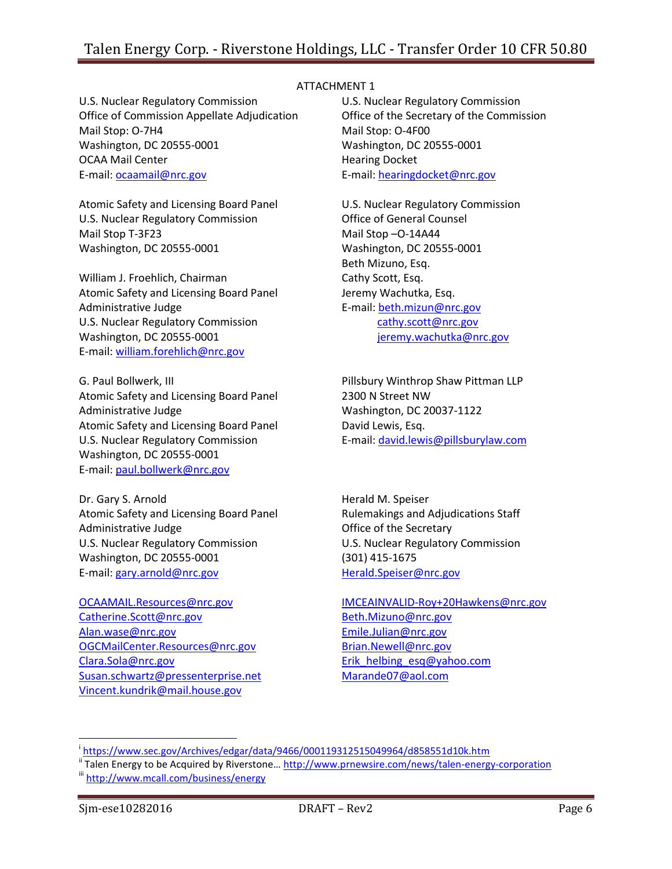U.S. Nuclear Regulatory Commission Office of Commission Appellate Adjudication Mail Stop: O-7H4 Washington, DC 20555-0001 OCAA Mail Center E-mail: [ocaamail@nrc.gov](mailto:ocaamail@nrc.gov)

Atomic Safety and Licensing Board Panel U.S. Nuclear Regulatory Commission Mail Stop T-3F23 Washington, DC 20555-0001

William J. Froehlich, Chairman Atomic Safety and Licensing Board Panel Administrative Judge U.S. Nuclear Regulatory Commission Washington, DC 20555-0001 E-mail: [william.forehlich@nrc.gov](mailto:william.forehlich@nrc.gov)

G. Paul Bollwerk, III Atomic Safety and Licensing Board Panel Administrative Judge Atomic Safety and Licensing Board Panel U.S. Nuclear Regulatory Commission Washington, DC 20555-0001 E-mail: [paul.bollwerk@nrc.gov](mailto:paul.bollwerk@nrc.gov)

Dr. Gary S. Arnold Atomic Safety and Licensing Board Panel Administrative Judge U.S. Nuclear Regulatory Commission Washington, DC 20555-0001 E-mail: [gary.arnold@nrc.gov](mailto:gary.arnold@nrc.gov)

[Catherine.Scott@nrc.gov](mailto:Catherine.Scott@nrc.gov) [Beth.Mizuno@nrc.gov](mailto:Beth.Mizuno@nrc.gov) [Alan.wase@nrc.gov](mailto:Alan.wase@nrc.gov) [Emile.Julian@nrc.gov](mailto:Emile.Julian@nrc.gov) [OGCMailCenter.Resources@nrc.gov](mailto:OGCMailCenter.Resources@nrc.gov) [Brian.Newell@nrc.gov](mailto:Brian.Newell@nrc.gov) [Clara.Sola@nrc.gov](mailto:Clara.Sola@nrc.gov) example and the example of the [Erik\\_helbing\\_esq@yahoo.com](mailto:Erik_helbing_esq@yahoo.com) [Susan.schwartz@pressenterprise.net](mailto:Susan.schwartz@pressenterprise.net) [Marande07@aol.com](mailto:Marande07@aol.com) [Vincent.kundrik@mail.house.gov](mailto:Vincent.kundrik@mail.house.gov)

## ATTACHMENT 1

U.S. Nuclear Regulatory Commission Office of the Secretary of the Commission Mail Stop: O-4F00 Washington, DC 20555-0001 Hearing Docket E-mail[: hearingdocket@nrc.gov](mailto:hearingdocket@nrc.gov)

U.S. Nuclear Regulatory Commission Office of General Counsel Mail Stop –O-14A44 Washington, DC 20555-0001 Beth Mizuno, Esq. Cathy Scott, Esq. Jeremy Wachutka, Esq. E-mail[: beth.mizun@nrc.gov](mailto:beth.mizun@nrc.gov) [cathy.scott@nrc.gov](mailto:cathy.scott@nrc.gov) [jeremy.wachutka@nrc.gov](mailto:jeremy.wachutka@nrc.gov)

Pillsbury Winthrop Shaw Pittman LLP 2300 N Street NW Washington, DC 20037-1122 David Lewis, Esq. E-mail[: david.lewis@pillsburylaw.com](mailto:david.lewis@pillsburylaw.com)

Herald M. Speiser Rulemakings and Adjudications Staff Office of the Secretary U.S. Nuclear Regulatory Commission (301) 415-1675 [Herald.Speiser@nrc.gov](mailto:Herald.Speiser@nrc.gov)

[OCAAMAIL.Resources@nrc.gov](mailto:OCAAMAIL.Resources@nrc.gov) [IMCEAINVALID-Roy+20Hawkens@nrc.gov](mailto:IMCEAINVALID-Roy+20Hawkens@nrc.gov)

 $\overline{a}$ 

i <https://www.sec.gov/Archives/edgar/data/9466/000119312515049964/d858551d10k.htm>

<sup>&</sup>lt;sup>ii</sup> Talen Energy to be Acquired by Riverstone... <http://www.prnewsire.com/news/talen-energy-corporation>

iii <http://www.mcall.com/business/energy>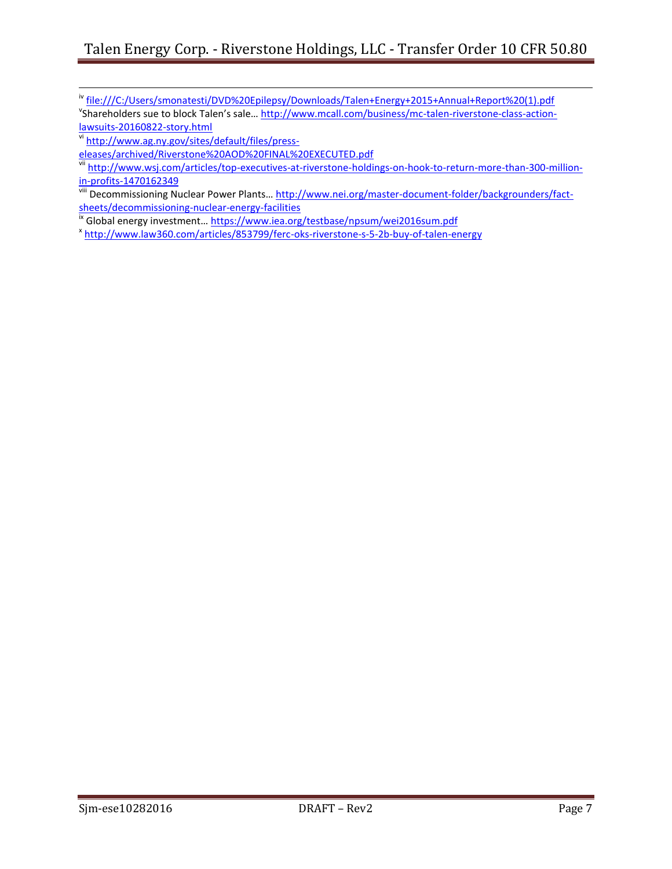| iv file:///C:/Users/smonatesti/DVD%20Epilepsy/Downloads/Talen+Energy+2015+Annual+Report%20(1).pdf                   |
|---------------------------------------------------------------------------------------------------------------------|
| <sup>V</sup> Shareholders sue to block Talen's sale http://www.mcall.com/business/mc-talen-riverstone-class-action- |
| lawsuits-20160822-story.html                                                                                        |
|                                                                                                                     |

vi [http://www.ag.ny.gov/sites/default/files/press-](http://www.ag.ny.gov/sites/default/files/press-eleases/archived/Riverstone%20AOD%20FINAL%20EXECUTED.pdf)

[eleases/archived/Riverstone%20AOD%20FINAL%20EXECUTED.pdf](http://www.ag.ny.gov/sites/default/files/press-eleases/archived/Riverstone%20AOD%20FINAL%20EXECUTED.pdf)

<sup>vii</sup> [http://www.wsj.com/articles/top-executives-at-riverstone-holdings-on-hook-to-return-more-than-300-million](http://www.wsj.com/articles/top-executives-at-riverstone-holdings-on-hook-to-return-more-than-300-million-in-profits-1470162349)[in-profits-1470162349](http://www.wsj.com/articles/top-executives-at-riverstone-holdings-on-hook-to-return-more-than-300-million-in-profits-1470162349)

viii Decommissioning Nuclear Power Plants… [http://www.nei.org/master-document-folder/backgrounders/fact](http://www.nei.org/master-document-folder/backgrounders/fact-sheets/decommissioning-nuclear-energy-facilities)[sheets/decommissioning-nuclear-energy-facilities](http://www.nei.org/master-document-folder/backgrounders/fact-sheets/decommissioning-nuclear-energy-facilities)

<sup>ix</sup> Global energy investment... <u><https://www.iea.org/testbase/npsum/wei2016sum.pdf></u>

x <http://www.law360.com/articles/853799/ferc-oks-riverstone-s-5-2b-buy-of-talen-energy>